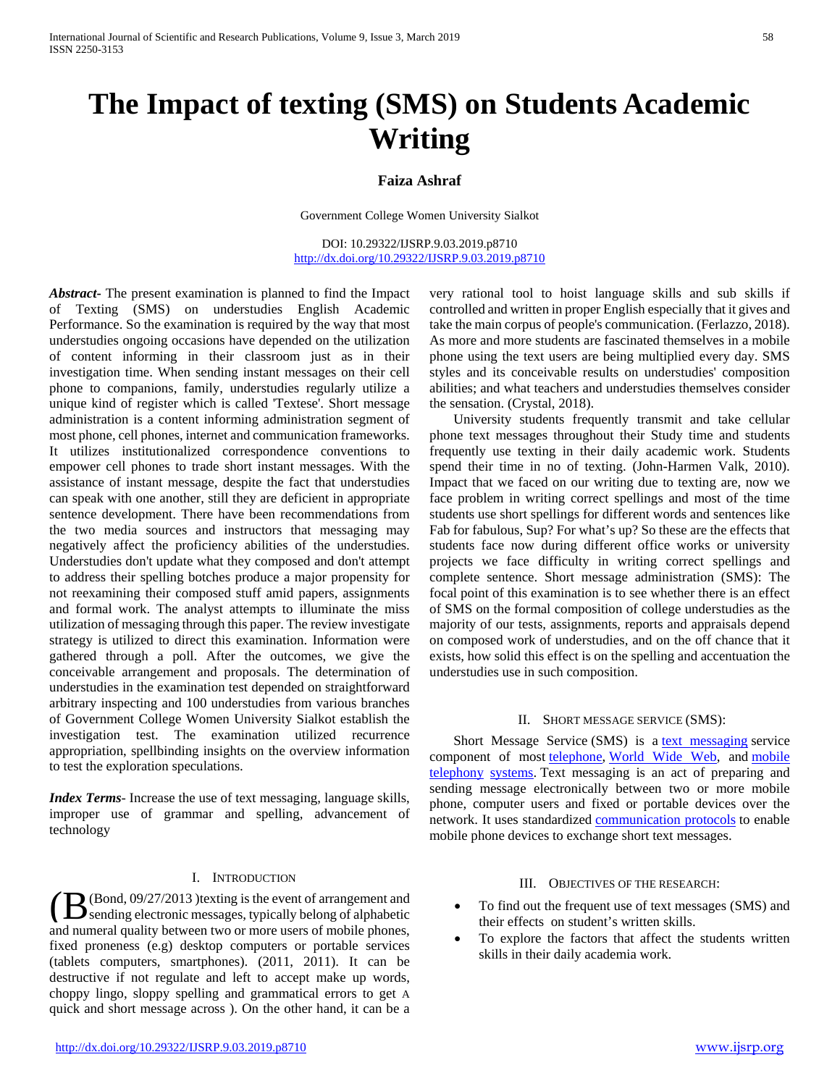# **The Impact of texting (SMS) on Students Academic Writing**

# **Faiza Ashraf**

Government College Women University Sialkot

DOI: 10.29322/IJSRP.9.03.2019.p8710 <http://dx.doi.org/10.29322/IJSRP.9.03.2019.p8710>

*Abstract***-** The present examination is planned to find the Impact of Texting (SMS) on understudies English Academic Performance. So the examination is required by the way that most understudies ongoing occasions have depended on the utilization of content informing in their classroom just as in their investigation time. When sending instant messages on their cell phone to companions, family, understudies regularly utilize a unique kind of register which is called 'Textese'. Short message administration is a content informing administration segment of most phone, cell phones, internet and communication frameworks. It utilizes institutionalized correspondence conventions to empower cell phones to trade short instant messages. With the assistance of instant message, despite the fact that understudies can speak with one another, still they are deficient in appropriate sentence development. There have been recommendations from the two media sources and instructors that messaging may negatively affect the proficiency abilities of the understudies. Understudies don't update what they composed and don't attempt to address their spelling botches produce a major propensity for not reexamining their composed stuff amid papers, assignments and formal work. The analyst attempts to illuminate the miss utilization of messaging through this paper. The review investigate strategy is utilized to direct this examination. Information were gathered through a poll. After the outcomes, we give the conceivable arrangement and proposals. The determination of understudies in the examination test depended on straightforward arbitrary inspecting and 100 understudies from various branches of Government College Women University Sialkot establish the investigation test. The examination utilized recurrence appropriation, spellbinding insights on the overview information to test the exploration speculations.

*Index Terms*- Increase the use of text messaging, language skills, improper use of grammar and spelling, advancement of technology

## I. INTRODUCTION

(Bond, 09/27/2013) texting is the event of arrangement and (Bond, 09/27/2013 ) texting is the event of arrangement and<br>sending electronic messages, typically belong of alphabetic and numeral quality between two or more users of mobile phones, fixed proneness (e.g) desktop computers or portable services (tablets computers, smartphones). (2011, 2011). It can be destructive if not regulate and left to accept make up words, choppy lingo, sloppy spelling and grammatical errors to get A quick and short message across ). On the other hand, it can be a

very rational tool to hoist language skills and sub skills if controlled and written in proper English especially that it gives and take the main corpus of people's communication. (Ferlazzo, 2018). As more and more students are fascinated themselves in a mobile phone using the text users are being multiplied every day. SMS styles and its conceivable results on understudies' composition abilities; and what teachers and understudies themselves consider the sensation. (Crystal, 2018).

 University students frequently transmit and take cellular phone text messages throughout their Study time and students frequently use texting in their daily academic work. Students spend their time in no of texting. (John-Harmen Valk, 2010). Impact that we faced on our writing due to texting are, now we face problem in writing correct spellings and most of the time students use short spellings for different words and sentences like Fab for fabulous, Sup? For what's up? So these are the effects that students face now during different office works or university projects we face difficulty in writing correct spellings and complete sentence. Short message administration (SMS): The focal point of this examination is to see whether there is an effect of SMS on the formal composition of college understudies as the majority of our tests, assignments, reports and appraisals depend on composed work of understudies, and on the off chance that it exists, how solid this effect is on the spelling and accentuation the understudies use in such composition.

#### II. SHORT MESSAGE SERVICE (SMS):

 Short Message Service (SMS) is a [text messaging](https://en.wikipedia.org/wiki/Text_messaging) service component of most [telephone,](https://en.wikipedia.org/wiki/Telephone) [World Wide Web,](https://en.wikipedia.org/wiki/World_Wide_Web) and [mobile](https://en.wikipedia.org/wiki/Mobile_telephony)  [telephony](https://en.wikipedia.org/wiki/Mobile_telephony) [systems.](https://en.wikipedia.org/wiki/Systems) Text messaging is an act of preparing and sending message electronically between two or more mobile phone, computer users and fixed or portable devices over the network. It uses standardized **communication** protocols to enable mobile phone devices to exchange short text messages.

## III. OBJECTIVES OF THE RESEARCH:

- To find out the frequent use of text messages (SMS) and their effects on student's written skills.
- To explore the factors that affect the students written skills in their daily academia work.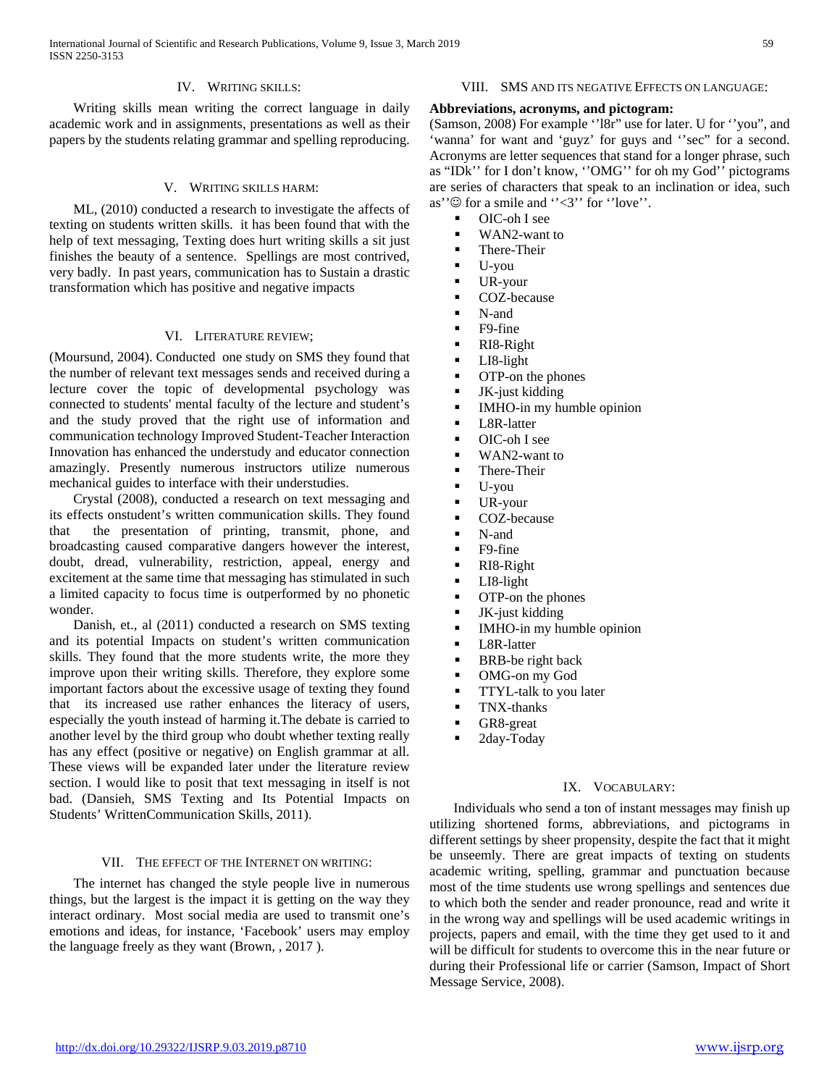#### IV. WRITING SKILLS:

 Writing skills mean writing the correct language in daily academic work and in assignments, presentations as well as their papers by the students relating grammar and spelling reproducing.

#### V. WRITING SKILLS HARM:

 ML, (2010) conducted a research to investigate the affects of texting on students written skills. it has been found that with the help of text messaging, Texting does hurt writing skills a sit just finishes the beauty of a sentence. Spellings are most contrived, very badly. In past years, communication has to Sustain a drastic transformation which has positive and negative impacts

#### VI. LITERATURE REVIEW;

(Moursund, 2004). Conducted one study on SMS they found that the number of relevant text messages sends and received during a lecture cover the topic of developmental psychology was connected to students' mental faculty of the lecture and student's and the study proved that the right use of information and communication technology Improved Student-Teacher Interaction Innovation has enhanced the understudy and educator connection amazingly. Presently numerous instructors utilize numerous mechanical guides to interface with their understudies.

 Crystal (2008), conducted a research on text messaging and its effects onstudent's written communication skills. They found that the presentation of printing, transmit, phone, and broadcasting caused comparative dangers however the interest, doubt, dread, vulnerability, restriction, appeal, energy and excitement at the same time that messaging has stimulated in such a limited capacity to focus time is outperformed by no phonetic wonder.

 Danish, et., al (2011) conducted a research on SMS texting and its potential Impacts on student's written communication skills. They found that the more students write, the more they improve upon their writing skills. Therefore, they explore some important factors about the excessive usage of texting they found that its increased use rather enhances the literacy of users, especially the youth instead of harming it.The debate is carried to another level by the third group who doubt whether texting really has any effect (positive or negative) on English grammar at all. These views will be expanded later under the literature review section. I would like to posit that text messaging in itself is not bad. (Dansieh, SMS Texting and Its Potential Impacts on Students' WrittenCommunication Skills, 2011).

#### VII. THE EFFECT OF THE INTERNET ON WRITING:

 The internet has changed the style people live in numerous things, but the largest is the impact it is getting on the way they interact ordinary. Most social media are used to transmit one's emotions and ideas, for instance, 'Facebook' users may employ the language freely as they want (Brown, , 2017 ).

### VIII. SMS AND ITS NEGATIVE EFFECTS ON LANGUAGE:

## **Abbreviations, acronyms, and pictogram:**

(Samson, 2008) For example ''l8r" use for later. U for ''you", and 'wanna' for want and 'guyz' for guys and ''sec" for a second. Acronyms are letter sequences that stand for a longer phrase, such as "IDk'' for I don't know, ''OMG'' for oh my God'' pictograms are series of characters that speak to an inclination or idea, such as'' $\odot$  for a smile and ''<3'' for ''love''.

- OIC-oh I see
- WAN2-want to
- There-Their
- U-you
- UR-your
- COZ-because
- N-and
- $\blacksquare$  F9-fine
- RI8-Right
- LI8-light
- OTP-on the phones
- JK-just kidding
- IMHO-in my humble opinion
- **L8R-latter**
- OIC-oh I see
- WAN2-want to
- **There-Their**
- U-you
- UR-your
- COZ-because
- N-and
- F9-fine
- RI8-Right
- **LI8-light**
- OTP-on the phones
- JK-just kidding
- **IMHO-in my humble opinion**
- **L**8R-latter
- BRB-be right back
- OMG-on my God
- **TTYL-talk to you later**
- TNX-thanks
- GR8-great
- 2day-Today

# IX. VOCABULARY:

 Individuals who send a ton of instant messages may finish up utilizing shortened forms, abbreviations, and pictograms in different settings by sheer propensity, despite the fact that it might be unseemly. There are great impacts of texting on students academic writing, spelling, grammar and punctuation because most of the time students use wrong spellings and sentences due to which both the sender and reader pronounce, read and write it in the wrong way and spellings will be used academic writings in projects, papers and email, with the time they get used to it and will be difficult for students to overcome this in the near future or during their Professional life or carrier (Samson, Impact of Short Message Service, 2008).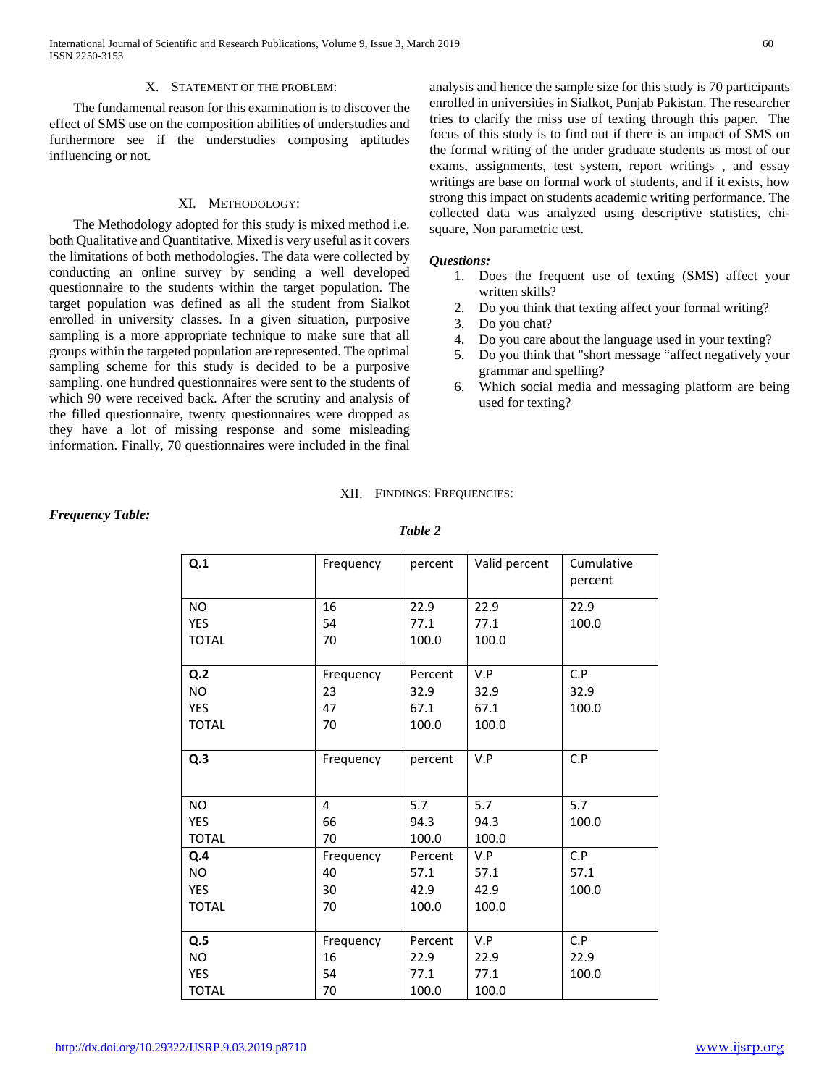International Journal of Scientific and Research Publications, Volume 9, Issue 3, March 2019 60 ISSN 2250-3153

#### X. STATEMENT OF THE PROBLEM:

 The fundamental reason for this examination is to discover the effect of SMS use on the composition abilities of understudies and furthermore see if the understudies composing aptitudes influencing or not.

## XI. METHODOLOGY:

 The Methodology adopted for this study is mixed method i.e. both Qualitative and Quantitative. Mixed is very useful as it covers the limitations of both methodologies. The data were collected by conducting an online survey by sending a well developed questionnaire to the students within the target population. The target population was defined as all the student from Sialkot enrolled in university classes. In a given situation, purposive sampling is a more appropriate technique to make sure that all groups within the targeted population are represented. The optimal sampling scheme for this study is decided to be a purposive sampling. one hundred questionnaires were sent to the students of which 90 were received back. After the scrutiny and analysis of the filled questionnaire, twenty questionnaires were dropped as they have a lot of missing response and some misleading information. Finally, 70 questionnaires were included in the final analysis and hence the sample size for this study is 70 participants enrolled in universities in Sialkot, Punjab Pakistan. The researcher tries to clarify the miss use of texting through this paper. The focus of this study is to find out if there is an impact of SMS on the formal writing of the under graduate students as most of our exams, assignments, test system, report writings , and essay writings are base on formal work of students, and if it exists, how strong this impact on students academic writing performance. The collected data was analyzed using descriptive statistics, chisquare, Non parametric test.

#### *Questions:*

- 1. Does the frequent use of texting (SMS) affect your written skills?
- 2. Do you think that texting affect your formal writing?
- 3. Do you chat?
- 4. Do you care about the language used in your texting?
- 5. Do you think that "short message "affect negatively your grammar and spelling?
- 6. Which social media and messaging platform are being used for texting?

#### XII. FINDINGS: FREQUENCIES:

## *Frequency Table:*

| able |  |
|------|--|
|------|--|

| Q.1          | Frequency | percent | Valid percent | Cumulative<br>percent |
|--------------|-----------|---------|---------------|-----------------------|
| NO.          | 16        | 22.9    | 22.9          | 22.9                  |
| <b>YES</b>   | 54        | 77.1    | 77.1          | 100.0                 |
| <b>TOTAL</b> | 70        | 100.0   | 100.0         |                       |
| Q.2          | Frequency | Percent | V.P           | C.P                   |
| NO           | 23        | 32.9    | 32.9          | 32.9                  |
| <b>YES</b>   | 47        | 67.1    | 67.1          | 100.0                 |
| <b>TOTAL</b> | 70        | 100.0   | 100.0         |                       |
| Q.3          | Frequency | percent | V.P           | C.P                   |
| NO.          | 4         | 5.7     | 5.7           | 5.7                   |
| YES          | 66        | 94.3    | 94.3          | 100.0                 |
| <b>TOTAL</b> | 70        | 100.0   | 100.0         |                       |
| Q.4          | Frequency | Percent | V.P           | C.P                   |
| NO.          | 40        | 57.1    | 57.1          | 57.1                  |
| <b>YES</b>   | 30        | 42.9    | 42.9          | 100.0                 |
| <b>TOTAL</b> | 70        | 100.0   | 100.0         |                       |
| Q.5          | Frequency | Percent | V.P           | C.P                   |
| NO           | 16        | 22.9    | 22.9          | 22.9                  |
| YES          | 54        | 77.1    | 77.1          | 100.0                 |
| <b>TOTAL</b> | 70        | 100.0   | 100.0         |                       |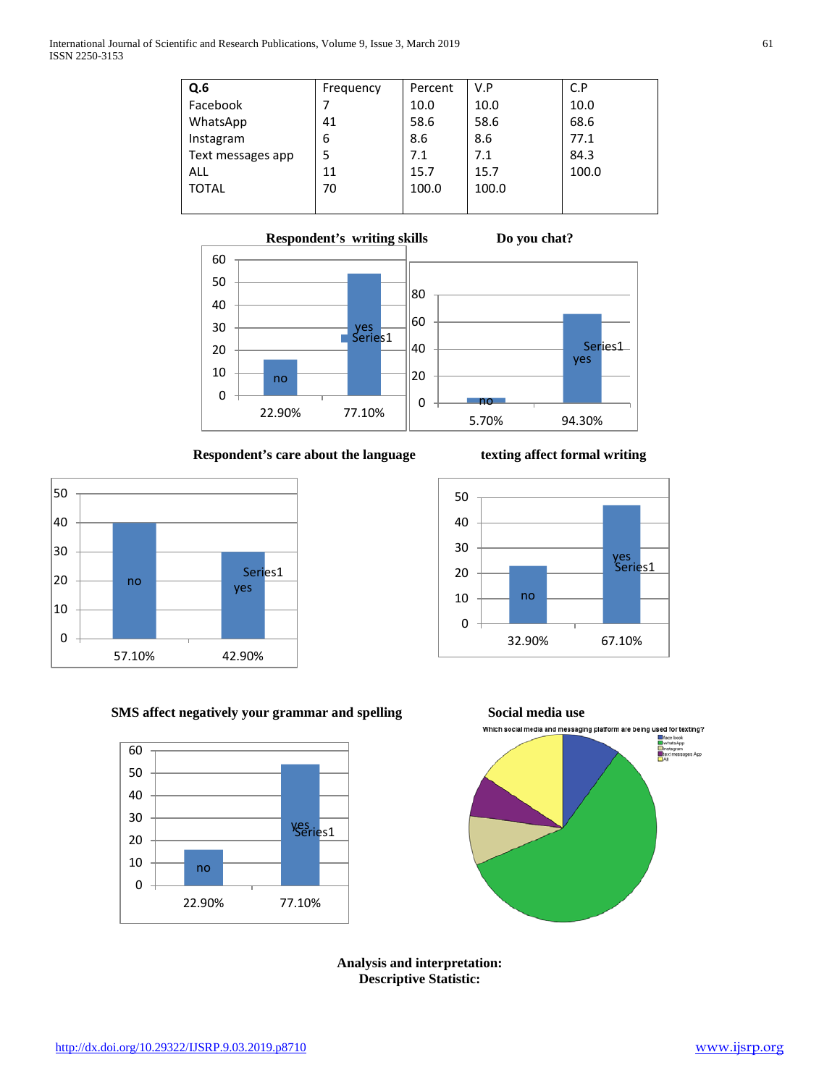| Q.6               | Frequency | Percent | V.P   | C.P   |
|-------------------|-----------|---------|-------|-------|
| Facebook          |           | 10.0    | 10.0  | 10.0  |
| WhatsApp          | 41        | 58.6    | 58.6  | 68.6  |
| Instagram         | 6         | 8.6     | 8.6   | 77.1  |
| Text messages app |           | 7.1     | 7.1   | 84.3  |
| <b>ALL</b>        | 11        | 15.7    | 15.7  | 100.0 |
| <b>TOTAL</b>      | 70        | 100.0   | 100.0 |       |
|                   |           |         |       |       |



**Respondent's care about the language texting affect formal writing**



# **SMS** affect negatively your grammar and spelling Social media use



Which social media and messaging platform are being used for texting?

**Analysis and interpretation: Descriptive Statistic:**

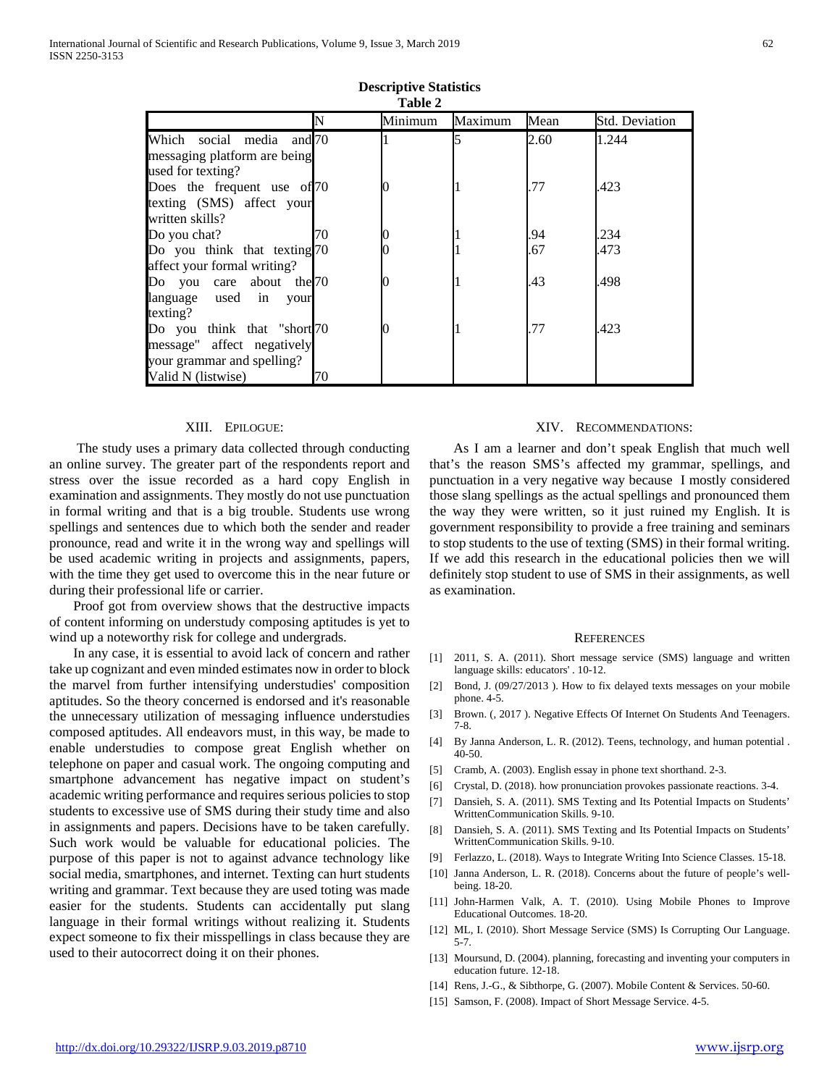| Table 2                                                                                                       |    |         |         |      |                       |  |  |
|---------------------------------------------------------------------------------------------------------------|----|---------|---------|------|-----------------------|--|--|
|                                                                                                               |    | Minimum | Maximum | Mean | <b>Std. Deviation</b> |  |  |
| Which<br>social media and 70<br>messaging platform are being<br>used for texting?                             |    |         |         | 2.60 | 1.244                 |  |  |
| Does the frequent use of 70<br>texting (SMS) affect your<br>written skills?                                   |    |         |         | .77  | .423                  |  |  |
| Do you chat?                                                                                                  | 70 |         |         | .94  | .234                  |  |  |
| Do you think that texting 70<br>affect your formal writing?                                                   |    |         |         | .67  | .473                  |  |  |
| Do you care about the 70<br>language used in<br>your<br>texting?                                              |    |         |         | .43  | .498                  |  |  |
| Do you think that "short 70<br>message" affect negatively<br>your grammar and spelling?<br>Valid N (listwise) | 70 |         |         | .77  | .423                  |  |  |

**Descriptive Statistics**

#### XIII. EPILOGUE:

 The study uses a primary data collected through conducting an online survey. The greater part of the respondents report and stress over the issue recorded as a hard copy English in examination and assignments. They mostly do not use punctuation in formal writing and that is a big trouble. Students use wrong spellings and sentences due to which both the sender and reader pronounce, read and write it in the wrong way and spellings will be used academic writing in projects and assignments, papers, with the time they get used to overcome this in the near future or during their professional life or carrier.

 Proof got from overview shows that the destructive impacts of content informing on understudy composing aptitudes is yet to wind up a noteworthy risk for college and undergrads.

 In any case, it is essential to avoid lack of concern and rather take up cognizant and even minded estimates now in order to block the marvel from further intensifying understudies' composition aptitudes. So the theory concerned is endorsed and it's reasonable the unnecessary utilization of messaging influence understudies composed aptitudes. All endeavors must, in this way, be made to enable understudies to compose great English whether on telephone on paper and casual work. The ongoing computing and smartphone advancement has negative impact on student's academic writing performance and requires serious policies to stop students to excessive use of SMS during their study time and also in assignments and papers. Decisions have to be taken carefully. Such work would be valuable for educational policies. The purpose of this paper is not to against advance technology like social media, smartphones, and internet. Texting can hurt students writing and grammar. Text because they are used toting was made easier for the students. Students can accidentally put slang language in their formal writings without realizing it. Students expect someone to fix their misspellings in class because they are used to their autocorrect doing it on their phones.

#### XIV. RECOMMENDATIONS:

 As I am a learner and don't speak English that much well that's the reason SMS's affected my grammar, spellings, and punctuation in a very negative way because I mostly considered those slang spellings as the actual spellings and pronounced them the way they were written, so it just ruined my English. It is government responsibility to provide a free training and seminars to stop students to the use of texting (SMS) in their formal writing. If we add this research in the educational policies then we will definitely stop student to use of SMS in their assignments, as well as examination.

#### **REFERENCES**

- [1] 2011, S. A. (2011). Short message service (SMS) language and written language skills: educators' . 10-12.
- [2] Bond, J. (09/27/2013 ). How to fix delayed texts messages on your mobile phone. 4-5.
- [3] Brown. (, 2017 ). Negative Effects Of Internet On Students And Teenagers. 7-8.
- [4] By Janna Anderson, L. R. (2012). Teens, technology, and human potential . 40-50.
- [5] Cramb, A. (2003). English essay in phone text shorthand. 2-3.
- [6] Crystal, D. (2018). how pronunciation provokes passionate reactions. 3-4.
- [7] Dansieh, S. A. (2011). SMS Texting and Its Potential Impacts on Students' WrittenCommunication Skills. 9-10.
- [8] Dansieh, S. A. (2011). SMS Texting and Its Potential Impacts on Students' WrittenCommunication Skills. 9-10.
- [9] Ferlazzo, L. (2018). Ways to Integrate Writing Into Science Classes. 15-18.
- [10] Janna Anderson, L. R. (2018). Concerns about the future of people's wellbeing. 18-20.
- [11] John-Harmen Valk, A. T. (2010). Using Mobile Phones to Improve Educational Outcomes. 18-20.
- [12] ML, I. (2010). Short Message Service (SMS) Is Corrupting Our Language. 5-7.
- [13] Moursund, D. (2004). planning, forecasting and inventing your computers in education future. 12-18.
- [14] Rens, J.-G., & Sibthorpe, G. (2007). Mobile Content & Services. 50-60.
- [15] Samson, F. (2008). Impact of Short Message Service. 4-5.